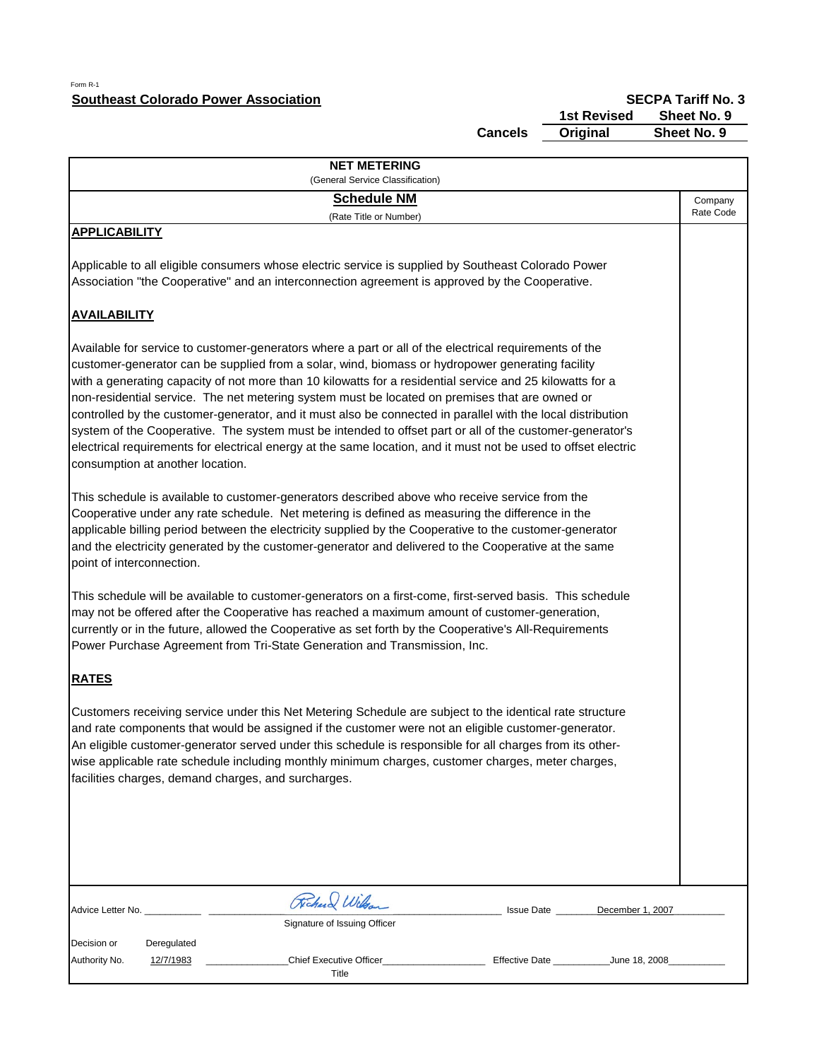## Form R-1 **Southeast Colorado Power Association**

**SECPA Tariff No. 3**<br>**1st Revised** Sheet No. 9

**Cancels**

 **1st Revised Sheet No. 9 Sheet No. 9** 

|                                  | <b>NET METERING</b>                                                                                                                                                                                                                                                                                                                                                                                                                                                                                                                                                                                                                                                                                                                                                    |            |                      |
|----------------------------------|------------------------------------------------------------------------------------------------------------------------------------------------------------------------------------------------------------------------------------------------------------------------------------------------------------------------------------------------------------------------------------------------------------------------------------------------------------------------------------------------------------------------------------------------------------------------------------------------------------------------------------------------------------------------------------------------------------------------------------------------------------------------|------------|----------------------|
|                                  | (General Service Classification)<br><b>Schedule NM</b>                                                                                                                                                                                                                                                                                                                                                                                                                                                                                                                                                                                                                                                                                                                 |            |                      |
|                                  | (Rate Title or Number)                                                                                                                                                                                                                                                                                                                                                                                                                                                                                                                                                                                                                                                                                                                                                 |            | Company<br>Rate Code |
| <b>APPLICABILITY</b>             | Applicable to all eligible consumers whose electric service is supplied by Southeast Colorado Power                                                                                                                                                                                                                                                                                                                                                                                                                                                                                                                                                                                                                                                                    |            |                      |
|                                  | Association "the Cooperative" and an interconnection agreement is approved by the Cooperative.                                                                                                                                                                                                                                                                                                                                                                                                                                                                                                                                                                                                                                                                         |            |                      |
| <b>AVAILABILITY</b>              |                                                                                                                                                                                                                                                                                                                                                                                                                                                                                                                                                                                                                                                                                                                                                                        |            |                      |
| consumption at another location. | Available for service to customer-generators where a part or all of the electrical requirements of the<br>customer-generator can be supplied from a solar, wind, biomass or hydropower generating facility<br>with a generating capacity of not more than 10 kilowatts for a residential service and 25 kilowatts for a<br>non-residential service. The net metering system must be located on premises that are owned or<br>controlled by the customer-generator, and it must also be connected in parallel with the local distribution<br>system of the Cooperative. The system must be intended to offset part or all of the customer-generator's<br>electrical requirements for electrical energy at the same location, and it must not be used to offset electric |            |                      |
| point of interconnection.        | This schedule is available to customer-generators described above who receive service from the<br>Cooperative under any rate schedule. Net metering is defined as measuring the difference in the<br>applicable billing period between the electricity supplied by the Cooperative to the customer-generator<br>and the electricity generated by the customer-generator and delivered to the Cooperative at the same                                                                                                                                                                                                                                                                                                                                                   |            |                      |
|                                  | This schedule will be available to customer-generators on a first-come, first-served basis. This schedule<br>may not be offered after the Cooperative has reached a maximum amount of customer-generation,<br>currently or in the future, allowed the Cooperative as set forth by the Cooperative's All-Requirements<br>Power Purchase Agreement from Tri-State Generation and Transmission, Inc.                                                                                                                                                                                                                                                                                                                                                                      |            |                      |
| <b>RATES</b>                     |                                                                                                                                                                                                                                                                                                                                                                                                                                                                                                                                                                                                                                                                                                                                                                        |            |                      |
|                                  | Customers receiving service under this Net Metering Schedule are subject to the identical rate structure<br>and rate components that would be assigned if the customer were not an eligible customer-generator.<br>An eligible customer-generator served under this schedule is responsible for all charges from its other-<br>wise applicable rate schedule including monthly minimum charges, customer charges, meter charges,<br>facilities charges, demand charges, and surcharges.                                                                                                                                                                                                                                                                                |            |                      |
|                                  |                                                                                                                                                                                                                                                                                                                                                                                                                                                                                                                                                                                                                                                                                                                                                                        |            |                      |
| Advice Letter No.                | Richard Wilson                                                                                                                                                                                                                                                                                                                                                                                                                                                                                                                                                                                                                                                                                                                                                         | Issue Date | December 1, 2007     |
|                                  | Signature of Issuing Officer                                                                                                                                                                                                                                                                                                                                                                                                                                                                                                                                                                                                                                                                                                                                           |            |                      |
| Decision or<br>Deregulated       |                                                                                                                                                                                                                                                                                                                                                                                                                                                                                                                                                                                                                                                                                                                                                                        |            |                      |
| Authority No.<br>12/7/1983       | Chief Executive Officer_<br>Title                                                                                                                                                                                                                                                                                                                                                                                                                                                                                                                                                                                                                                                                                                                                      |            |                      |